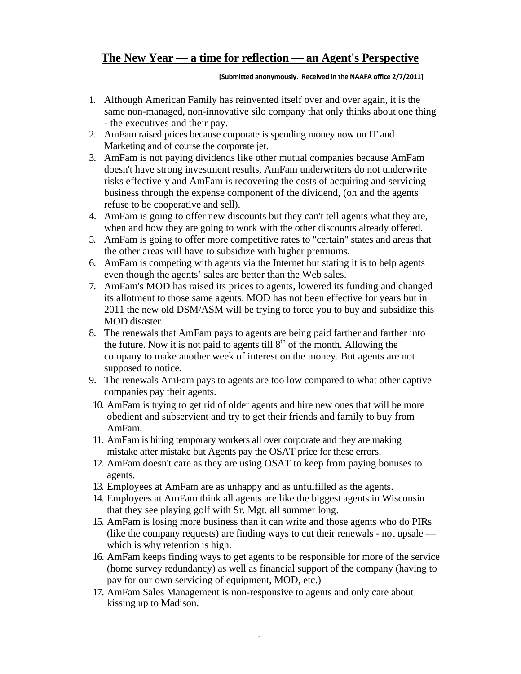## **The New Year — a time for reflection — an Agent's Perspective**

## **[Submitted anonymously. Received in the NAAFA office 2/7/2011]**

- 1. Although American Family has reinvented itself over and over again, it is the same non-managed, non-innovative silo company that only thinks about one thing - the executives and their pay.
- 2. AmFam raised prices because corporate is spending money now on IT and Marketing and of course the corporate jet.
- 3. AmFam is not paying dividends like other mutual companies because AmFam doesn't have strong investment results, AmFam underwriters do not underwrite risks effectively and AmFam is recovering the costs of acquiring and servicing business through the expense component of the dividend, (oh and the agents refuse to be cooperative and sell).
- 4. AmFam is going to offer new discounts but they can't tell agents what they are, when and how they are going to work with the other discounts already offered.
- 5. AmFam is going to offer more competitive rates to "certain" states and areas that the other areas will have to subsidize with higher premiums.
- 6. AmFam is competing with agents via the Internet but stating it is to help agents even though the agents' sales are better than the Web sales.
- 7. AmFam's MOD has raised its prices to agents, lowered its funding and changed its allotment to those same agents. MOD has not been effective for years but in 2011 the new old DSM/ASM will be trying to force you to buy and subsidize this MOD disaster.
- 8. The renewals that AmFam pays to agents are being paid farther and farther into the future. Now it is not paid to agents till  $8<sup>th</sup>$  of the month. Allowing the company to make another week of interest on the money. But agents are not supposed to notice.
- 9. The renewals AmFam pays to agents are too low compared to what other captive companies pay their agents.
- 10. AmFam is trying to get rid of older agents and hire new ones that will be more obedient and subservient and try to get their friends and family to buy from AmFam.
- 11. AmFam is hiring temporary workers all over corporate and they are making mistake after mistake but Agents pay the OSAT price for these errors.
- 12. AmFam doesn't care as they are using OSAT to keep from paying bonuses to agents.
- 13. Employees at AmFam are as unhappy and as unfulfilled as the agents.
- 14. Employees at AmFam think all agents are like the biggest agents in Wisconsin that they see playing golf with Sr. Mgt. all summer long.
- 15. AmFam is losing more business than it can write and those agents who do PIRs (like the company requests) are finding ways to cut their renewals - not upsale which is why retention is high.
- 16. AmFam keeps finding ways to get agents to be responsible for more of the service (home survey redundancy) as well as financial support of the company (having to pay for our own servicing of equipment, MOD, etc.)
- 17. AmFam Sales Management is non-responsive to agents and only care about kissing up to Madison.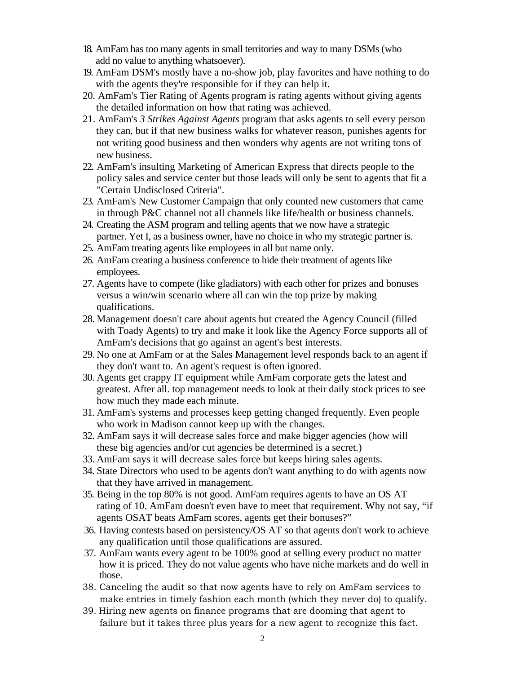- 18. AmFam has too many agents in small territories and way to many DSMs (who add no value to anything whatsoever).
- 19. AmFam DSM's mostly have a no-show job, play favorites and have nothing to do with the agents they're responsible for if they can help it.
- 20*.* AmFam's Tier Rating of Agents program is rating agents without giving agents the detailed information on how that rating was achieved.
- 21. AmFam's *3 Strikes Against Agents* program that asks agents to sell every person they can, but if that new business walks for whatever reason, punishes agents for not writing good business and then wonders why agents are not writing tons of new business.
- 22. AmFam's insulting Marketing of American Express that directs people to the policy sales and service center but those leads will only be sent to agents that fit a "Certain Undisclosed Criteria".
- 23. AmFam's New Customer Campaign that only counted new customers that came in through P&C channel not all channels like life/health or business channels.
- 24. Creating the ASM program and telling agents that we now have a strategic partner. Yet I, as a business owner, have no choice in who my strategic partner is.
- 25. AmFam treating agents like employees in all but name only.
- 26. AmFam creating a business conference to hide their treatment of agents like employees.
- 27. Agents have to compete (like gladiators) with each other for prizes and bonuses versus a win/win scenario where all can win the top prize by making qualifications.
- 28. Management doesn't care about agents but created the Agency Council (filled with Toady Agents) to try and make it look like the Agency Force supports all of AmFam's decisions that go against an agent's best interests.
- 29. No one at AmFam or at the Sales Management level responds back to an agent if they don't want to. An agent's request is often ignored.
- 30. Agents get crappy IT equipment while AmFam corporate gets the latest and greatest. After all. top management needs to look at their daily stock prices to see how much they made each minute.
- 31. AmFam's systems and processes keep getting changed frequently. Even people who work in Madison cannot keep up with the changes.
- 32. AmFam says it will decrease sales force and make bigger agencies (how will these big agencies and/or cut agencies be determined is a secret.)
- 33. AmFam says it will decrease sales force but keeps hiring sales agents.
- 34. State Directors who used to be agents don't want anything to do with agents now that they have arrived in management.
- 35. Being in the top 80% is not good. AmFam requires agents to have an OS AT rating of 10. AmFam doesn't even have to meet that requirement. Why not say, "if agents OSAT beats AmFam scores, agents get their bonuses?"
- 36. Having contests based on persistency/OS AT so that agents don't work to achieve any qualification until those qualifications are assured.
- 37. AmFam wants every agent to be 100% good at selling every product no matter how it is priced. They do not value agents who have niche markets and do well in those.
- 38. Canceling the audit so that now agents have to rely on AmFam services to make entries in timely fashion each month (which they never do) to qualify.
- 39*.* Hiring new agents on finance programs that are dooming that agent to failure but it takes three plus years for a new agent to recognize this fact.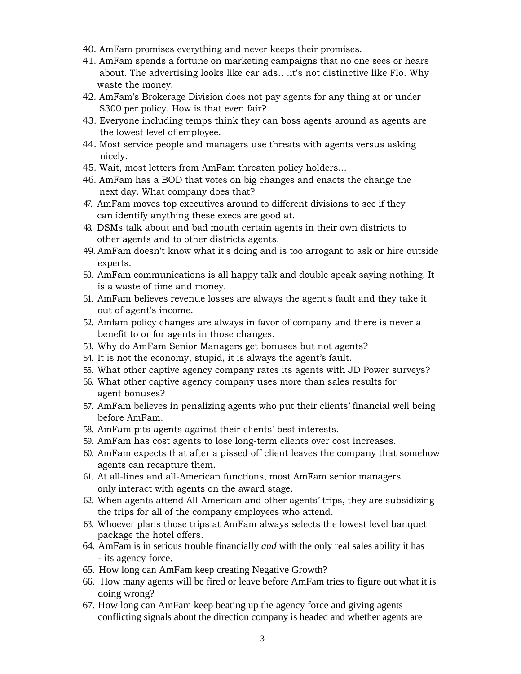- 40. AmFam promises everything and never keeps their promises.
- 41. AmFam spends a fortune on marketing campaigns that no one sees or hears about. The advertising looks like car ads.. .it's not distinctive like Flo. Why waste the money.
- 42. AmFam's Brokerage Division does not pay agents for any thing at or under \$300 per policy. How is that even fair?
- 43. Everyone including temps think they can boss agents around as agents are the lowest level of employee.
- 44. Most service people and managers use threats with agents versus asking nicely.
- 45. Wait, most letters from AmFam threaten policy holders...
- 46. AmFam has a BOD that votes on big changes and enacts the change the next day. What company does that?
- 47. AmFam moves top executives around to different divisions to see if they can identify anything these execs are good at.
- 48. DSMs talk about and bad mouth certain agents in their own districts to other agents and to other districts agents.
- 49. AmFam doesn't know what it's doing and is too arrogant to ask or hire outside experts.
- 50. AmFam communications is all happy talk and double speak saying nothing. It is a waste of time and money.
- 51. AmFam believes revenue losses are always the agent's fault and they take it out of agent's income.
- 52. Amfam policy changes are always in favor of company and there is never a benefit to or for agents in those changes.
- 53. Why do AmFam Senior Managers get bonuses but not agents?
- 54. It is not the economy, stupid, it is always the agent's fault.
- 55. What other captive agency company rates its agents with JD Power surveys?
- 56. What other captive agency company uses more than sales results for agent bonuses?
- 57. AmFam believes in penalizing agents who put their clients' financial well being before AmFam.
- 58. AmFam pits agents against their clients' best interests.
- 59. AmFam has cost agents to lose long-term clients over cost increases.
- 60. AmFam expects that after a pissed off client leaves the company that somehow agents can recapture them.
- 61. At all-lines and all-American functions, most AmFam senior managers only interact with agents on the award stage.
- 62. When agents attend All-American and other agents' trips, they are subsidizing the trips for all of the company employees who attend.
- 63. Whoever plans those trips at AmFam always selects the lowest level banquet package the hotel offers.
- 64. AmFam is in serious trouble financially *and* with the only real sales ability it has - its agency force.
- 65. How long can AmFam keep creating Negative Growth?
- 66. How many agents will be fired or leave before AmFam tries to figure out what it is doing wrong?
- 67. How long can AmFam keep beating up the agency force and giving agents conflicting signals about the direction company is headed and whether agents are